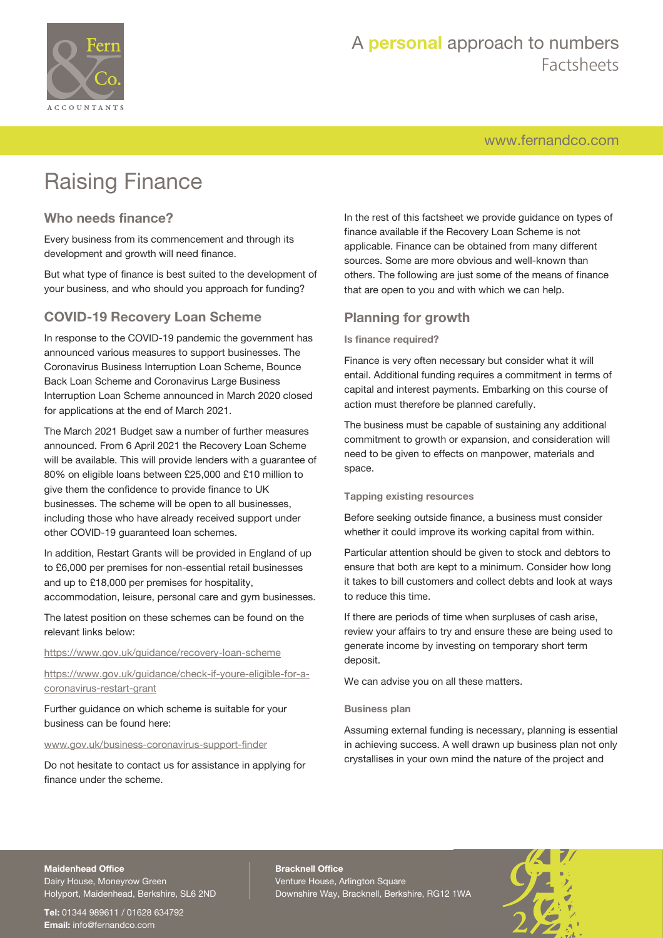

## A **personal** approach to numbers Factsheets

[www.fernandco.com](http://www.fernandco.com)

# Raising Finance

### **Who needs finance?**

Every business from its commencement and through its development and growth will need finance.

But what type of finance is best suited to the development of your business, and who should you approach for funding?

## **COVID-19 Recovery Loan Scheme**

In response to the COVID-19 pandemic the government has announced various measures to support businesses. The Coronavirus Business Interruption Loan Scheme, Bounce Back Loan Scheme and Coronavirus Large Business Interruption Loan Scheme announced in March 2020 closed for applications at the end of March 2021.

The March 2021 Budget saw a number of further measures announced. From 6 April 2021 the Recovery Loan Scheme will be available. This will provide lenders with a guarantee of 80% on eligible loans between £25,000 and £10 million to give them the confidence to provide finance to UK businesses. The scheme will be open to all businesses, including those who have already received support under other COVID-19 guaranteed loan schemes.

In addition, Restart Grants will be provided in England of up to £6,000 per premises for non-essential retail businesses and up to £18,000 per premises for hospitality, accommodation, leisure, personal care and gym businesses.

The latest position on these schemes can be found on the relevant links below:

<https://www.gov.uk/guidance/recovery-loan-scheme>

[https://www.gov.uk/guidance/check-if-youre-eligible-for-a](https://www.gov.uk/guidance/check-if-youre-eligible-for-a-coronavirus-restart-grant)[coronavirus-restart-grant](https://www.gov.uk/guidance/check-if-youre-eligible-for-a-coronavirus-restart-grant)

Further guidance on which scheme is suitable for your business can be found here:

[www.gov.uk/business-coronavirus-support-finder](https://www.gov.uk/business-coronavirus-support-finder)

Do not hesitate to contact us for assistance in applying for finance under the scheme.

In the rest of this factsheet we provide guidance on types of finance available if the Recovery Loan Scheme is not applicable. Finance can be obtained from many different sources. Some are more obvious and well-known than others. The following are just some of the means of finance that are open to you and with which we can help.

### **Planning for growth**

**Is finance required?**

Finance is very often necessary but consider what it will entail. Additional funding requires a commitment in terms of capital and interest payments. Embarking on this course of action must therefore be planned carefully.

The business must be capable of sustaining any additional commitment to growth or expansion, and consideration will need to be given to effects on manpower, materials and space.

**Tapping existing resources**

Before seeking outside finance, a business must consider whether it could improve its working capital from within.

Particular attention should be given to stock and debtors to ensure that both are kept to a minimum. Consider how long it takes to bill customers and collect debts and look at ways to reduce this time.

If there are periods of time when surpluses of cash arise, review your affairs to try and ensure these are being used to generate income by investing on temporary short term deposit.

We can advise you on all these matters.

#### **Business plan**

Assuming external funding is necessary, planning is essential in achieving success. A well drawn up business plan not only crystallises in your own mind the nature of the project and

#### **Maidenhead Office**

Dairy House, Moneyrow Green Holyport, Maidenhead, Berkshire, SL6 2ND

**Tel:** 01344 989611 / 01628 634792 **Email:** [info@fernandco.com](mailto:info@fernandco.com)

**Bracknell Office** Venture House, Arlington Square Downshire Way, Bracknell, Berkshire, RG12 1WA

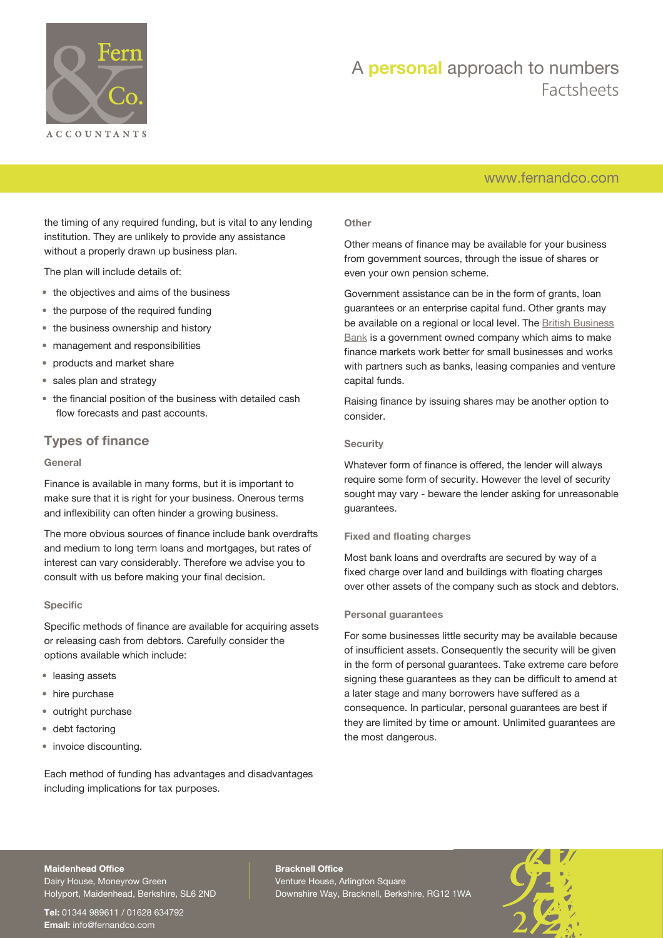

## A **personal** approach to numbers Factsheets

### [www.fernandco.com](http://www.fernandco.com)

the timing of any required funding, but is vital to any lending institution. They are unlikely to provide any assistance without a properly drawn up business plan.

The plan will include details of:

- the objectives and aims of the business
- the purpose of the required funding
- the business ownership and history
- management and responsibilities
- products and market share
- sales plan and strategy
- the financial position of the business with detailed cash flow forecasts and past accounts.

#### **Types of finance**

#### **General**

Finance is available in many forms, but it is important to make sure that it is right for your business. Onerous terms and inflexibility can often hinder a growing business.

The more obvious sources of finance include bank overdrafts and medium to long term loans and mortgages, but rates of interest can vary considerably. Therefore we advise you to consult with us before making your final decision.

#### **Specific**

Specific methods of finance are available for acquiring assets or releasing cash from debtors. Carefully consider the options available which include:

- leasing assets
- hire purchase
- outright purchase
- debt factoring
- invoice discounting.

Each method of funding has advantages and disadvantages including implications for tax purposes.

#### **Other**

Other means of finance may be available for your business from government sources, through the issue of shares or even your own pension scheme.

Government assistance can be in the form of grants, loan guarantees or an enterprise capital fund. Other grants may be available on a regional or local level. The [British Business](http://british-business-bank.co.uk/) [Bank](http://british-business-bank.co.uk/) is a government owned company which aims to make finance markets work better for small businesses and works with partners such as banks, leasing companies and venture capital funds.

Raising finance by issuing shares may be another option to consider.

#### **Security**

Whatever form of finance is offered, the lender will always require some form of security. However the level of security sought may vary - beware the lender asking for unreasonable guarantees.

#### **Fixed and floating charges**

Most bank loans and overdrafts are secured by way of a fixed charge over land and buildings with floating charges over other assets of the company such as stock and debtors.

#### **Personal guarantees**

For some businesses little security may be available because of insufficient assets. Consequently the security will be given in the form of personal guarantees. Take extreme care before signing these guarantees as they can be difficult to amend at a later stage and many borrowers have suffered as a consequence. In particular, personal guarantees are best if they are limited by time or amount. Unlimited guarantees are the most dangerous.

#### **Maidenhead Office**

Dairy House, Moneyrow Green Holyport, Maidenhead, Berkshire, SL6 2ND

**Tel:** 01344 989611 / 01628 634792 **Email:** [info@fernandco.com](mailto:info@fernandco.com)

**Bracknell Office** Venture House, Arlington Square Downshire Way, Bracknell, Berkshire, RG12 1WA